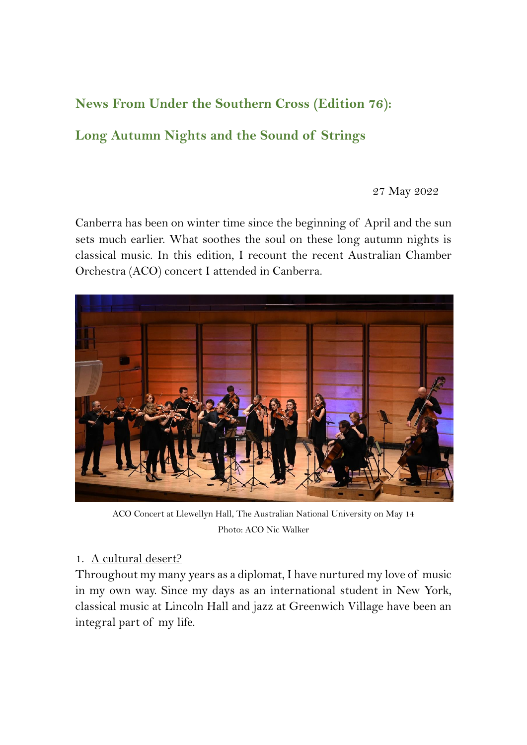# **News From Under the Southern Cross (Edition 76):**

# **Long Autumn Nights and the Sound of Strings**

27 May 2022

Canberra has been on winter time since the beginning of April and the sun sets much earlier. What soothes the soul on these long autumn nights is classical music. In this edition, I recount the recent Australian Chamber Orchestra (ACO) concert I attended in Canberra.



ACO Concert at Llewellyn Hall, The Australian National University on May 14 Photo: ACO Nic Walker

#### 1. A cultural desert?

Throughout my many years as a diplomat, I have nurtured my love of music in my own way. Since my days as an international student in New York, classical music at Lincoln Hall and jazz at Greenwich Village have been an integral part of my life.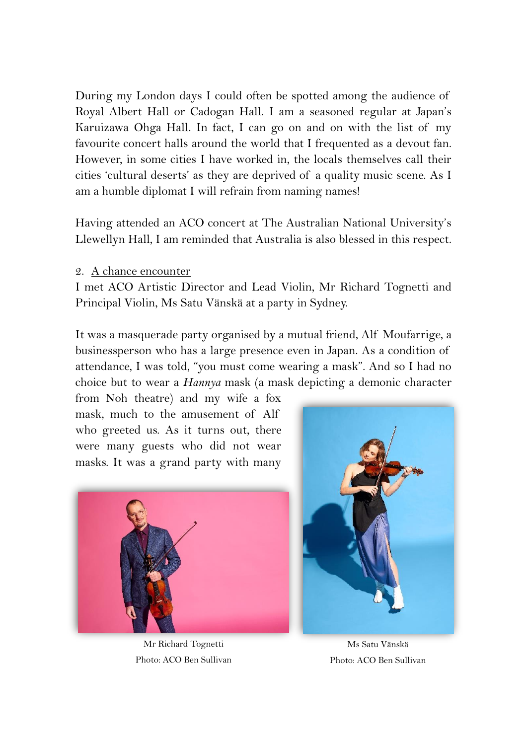During my London days I could often be spotted among the audience of Royal Albert Hall or Cadogan Hall. I am a seasoned regular at Japan's Karuizawa Ohga Hall. In fact, I can go on and on with the list of my favourite concert halls around the world that I frequented as a devout fan. However, in some cities I have worked in, the locals themselves call their cities 'cultural deserts' as they are deprived of a quality music scene. As I am a humble diplomat I will refrain from naming names!

Having attended an ACO concert at The Australian National University's Llewellyn Hall, I am reminded that Australia is also blessed in this respect.

2. A chance encounter

I met ACO Artistic Director and Lead Violin, Mr Richard Tognetti and Principal Violin, Ms Satu Vänskä at a party in Sydney.

It was a masquerade party organised by a mutual friend, Alf Moufarrige, a businessperson who has a large presence even in Japan. As a condition of attendance, I was told, "you must come wearing a mask". And so I had no choice but to wear a *Hannya* mask (a mask depicting a demonic character

from Noh theatre) and my wife a fox mask, much to the amusement of Alf who greeted us. As it turns out, there were many guests who did not wear masks. It was a grand party with many



Mr Richard Tognetti Photo: ACO Ben Sullivan



Ms Satu Vänskä Photo: ACO Ben Sullivan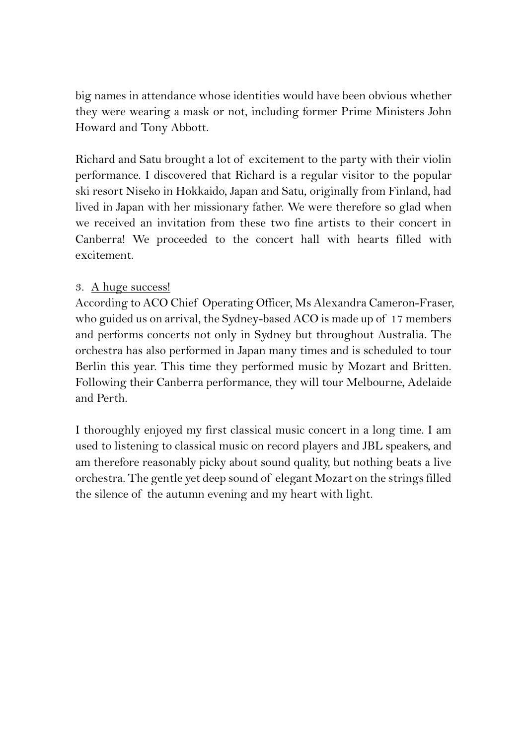big names in attendance whose identities would have been obvious whether they were wearing a mask or not, including former Prime Ministers John Howard and Tony Abbott.

Richard and Satu brought a lot of excitement to the party with their violin performance. I discovered that Richard is a regular visitor to the popular ski resort Niseko in Hokkaido, Japan and Satu, originally from Finland, had lived in Japan with her missionary father. We were therefore so glad when we received an invitation from these two fine artists to their concert in Canberra! We proceeded to the concert hall with hearts filled with excitement.

### 3. A huge success!

According to ACO Chief Operating Officer, Ms Alexandra Cameron-Fraser, who guided us on arrival, the Sydney-based ACO is made up of 17 members and performs concerts not only in Sydney but throughout Australia. The orchestra has also performed in Japan many times and is scheduled to tour Berlin this year. This time they performed music by Mozart and Britten. Following their Canberra performance, they will tour Melbourne, Adelaide and Perth.

I thoroughly enjoyed my first classical music concert in a long time. I am used to listening to classical music on record players and JBL speakers, and am therefore reasonably picky about sound quality, but nothing beats a live orchestra. The gentle yet deep sound of elegant Mozart on the strings filled the silence of the autumn evening and my heart with light.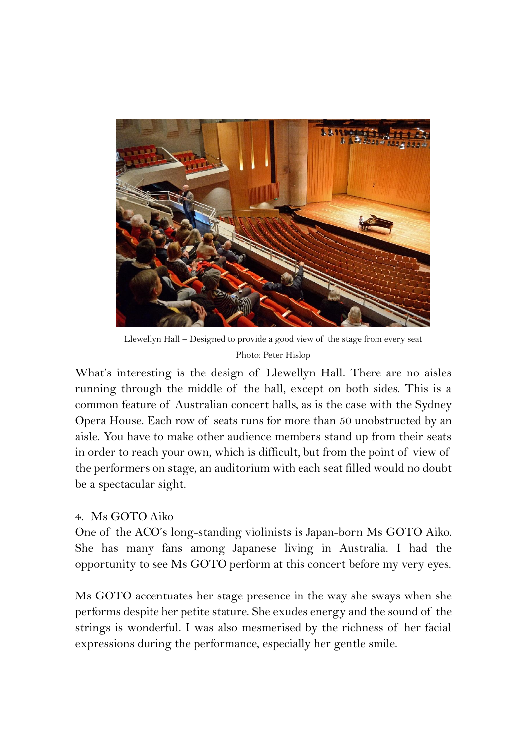

Llewellyn Hall – Designed to provide a good view of the stage from every seat Photo: Peter Hislop

What's interesting is the design of Llewellyn Hall. There are no aisles running through the middle of the hall, except on both sides. This is a common feature of Australian concert halls, as is the case with the Sydney Opera House. Each row of seats runs for more than 50 unobstructed by an aisle. You have to make other audience members stand up from their seats in order to reach your own, which is difficult, but from the point of view of the performers on stage, an auditorium with each seat filled would no doubt be a spectacular sight.

### 4. Ms GOTO Aiko

One of the ACO's long-standing violinists is Japan-born Ms GOTO Aiko. She has many fans among Japanese living in Australia. I had the opportunity to see Ms GOTO perform at this concert before my very eyes.

Ms GOTO accentuates her stage presence in the way she sways when she performs despite her petite stature. She exudes energy and the sound of the strings is wonderful. I was also mesmerised by the richness of her facial expressions during the performance, especially her gentle smile.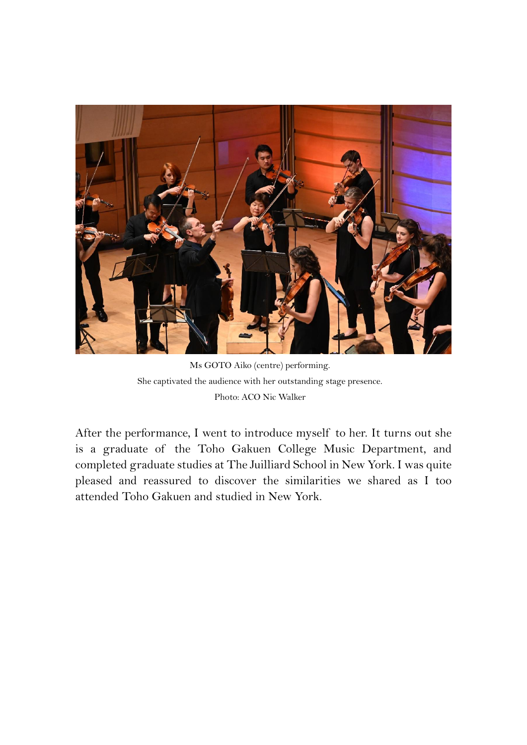

Ms GOTO Aiko (centre) performing. She captivated the audience with her outstanding stage presence. Photo: ACO Nic Walker

After the performance, I went to introduce myself to her. It turns out she is a graduate of the Toho Gakuen College Music Department, and completed graduate studies at The Juilliard School in New York. I was quite pleased and reassured to discover the similarities we shared as I too attended Toho Gakuen and studied in New York.